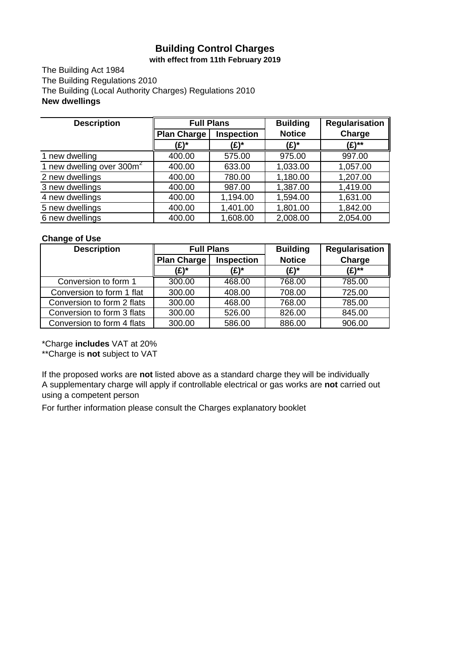## **Building Control Charges with effect from 11th February 2019**

The Building Act 1984 The Building Regulations 2010 The Building (Local Authority Charges) Regulations 2010 **New dwellings**

| <b>Description</b>                    | <b>Full Plans</b>  |                   | <b>Building</b> | <b>Regularisation</b> |  |
|---------------------------------------|--------------------|-------------------|-----------------|-----------------------|--|
|                                       | <b>Plan Charge</b> | <b>Inspection</b> | <b>Notice</b>   | Charge                |  |
|                                       | (£)*               | (£)*              | (£)*            | (£)**                 |  |
| 1 new dwelling                        | 400.00             | 575.00            | 975.00          | 997.00                |  |
| 1 new dwelling over 300m <sup>2</sup> | 400.00             | 633.00            | 1,033.00        | 1,057.00              |  |
| 2 new dwellings                       | 400.00             | 780.00            | 1,180.00        | 1,207.00              |  |
| 3 new dwellings                       | 400.00             | 987.00            | 1,387.00        | 1,419.00              |  |
| 4 new dwellings                       | 400.00             | 1,194.00          | 1,594.00        | 1,631.00              |  |
| 5 new dwellings                       | 400.00             | 1,401.00          | 1,801.00        | 1,842.00              |  |
| 6 new dwellings                       | 400.00             | 1,608.00          | 2,008.00        | 2,054.00              |  |

### **Change of Use**

| <b>Description</b>         | <b>Full Plans</b> |                   | <b>Building</b> | <b>Regularisation</b> |
|----------------------------|-------------------|-------------------|-----------------|-----------------------|
|                            | Plan Charge       | <b>Inspection</b> | <b>Notice</b>   | Charge                |
|                            | (£)*              | (£)*              | (£)*            | (£)**                 |
| Conversion to form 1       | 300.00            | 468.00            | 768.00          | 785.00                |
| Conversion to form 1 flat  | 300.00            | 408.00            | 708.00          | 725.00                |
| Conversion to form 2 flats | 300.00            | 468.00            | 768.00          | 785.00                |
| Conversion to form 3 flats | 300.00            | 526.00            | 826.00          | 845.00                |
| Conversion to form 4 flats | 300.00            | 586.00            | 886.00          | 906.00                |

\*Charge **includes** VAT at 20%

\*\*Charge is **not** subject to VAT

If the proposed works are **not** listed above as a standard charge they will be individually A supplementary charge will apply if controllable electrical or gas works are **not** carried out using a competent person

For further information please consult the Charges explanatory booklet